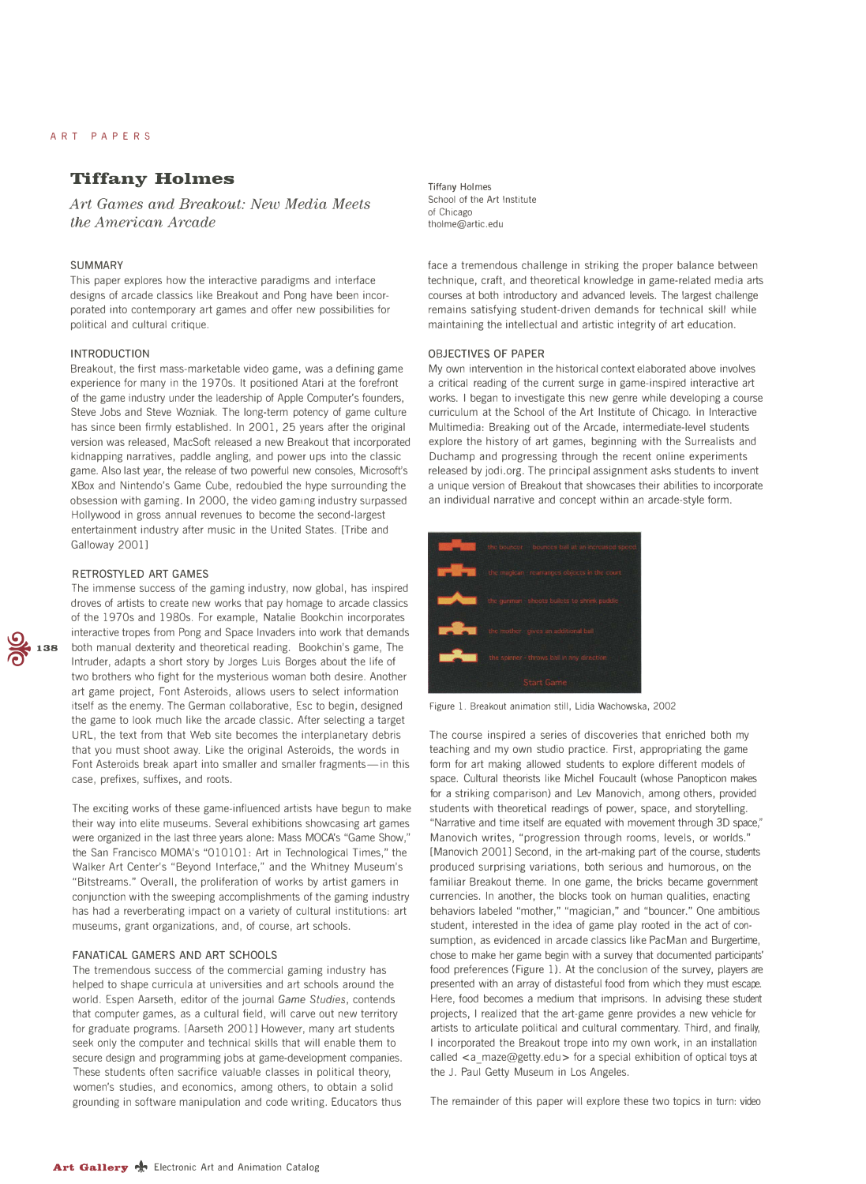## ART PAPERS

# **Tiffany Holmes**

*Art Games and Breakout: New Media Meets the American Arcade* 

### **SUMMARY**

This paper explores how the interactive paradigms and interface designs of arcade classics like Breakout and Pong have been incorporated into contemporary art games and offer new possibilities for political and cultural critique.

## **INTRODUCTION**

Breakout, the first mass-marketable video game, was a defining game experience for many in the 1970s. It positioned Atari at the forefront of the game industry under the leadership of Apple Computer's founders, Steve Jobs and Steve Wozniak. The long-term potency of game culture has since been firmly established. In 2001, 25 years after the original version was released, MacSoft released a new Breakout that incorporated kidnapping narratives, paddle angling, and power ups into the classic game. Also last year, the release of two powerful new consoles, Microsoft's XBox and Nintendo's Game Cube, redoubled the hype surrounding the obsession with gaming. In 2000, the video gaming industry surpassed Hollywood in gross annual revenues to become the second-largest entertainment industry after music in the United States. [Tribe and Galloway 2001]

# **RETROSTYLED ART GAMES**

**�(e <sup>138</sup>***rc,* 

The immense success of the gaming industry, now global, has inspired droves of artists to create new works that pay homage to arcade classics of the 1970s and 1980s. For example, Natalie Bookchin incorporates interactive tropes from Pong and Space Invaders into work that demands both manual dexterity and theoretical reading. Bookchin's game, The Intruder, adapts a short story by Jorges Luis Borges about the life of two brothers who fight for the mysterious woman both desire. Another art game project, Font Asteroids, allows users to select information itself as the enemy. The German collaborative, Esc to begin, designed the game to look much like the arcade classic. After selecting a target URL, the text from that Web site becomes the interplanetary debris that you must shoot away. Like the original Asteroids, the words in Font Asteroids break apart into smaller and smaller fragments-in this case, prefixes, suffixes, and roots.

The exciting works of these game-influenced artists have begun to make their way into elite museums. Several exhibitions showcasing art games were organized in the last three years alone: Mass MOCA's "Game Show," the San Francisco MOMA's "010101: Art in Technological Times," the Walker Art Center's "Beyond Interface," and the Whitney Museum's "Bitstreams." Overall, the proliferation of works by artist gamers in conjunction with the sweeping accomplishments of the gaming industry has had a reverberating impact on a variety of cultural institutions: art museums, grant organizations, and, of course, art schools.

# **FANATICAL GAMERS AND ART SCHOOLS**

The tremendous success of the commercial gaming industry has helped to shape curricula at universities and art schools around the world. Espen Aarseth, editor of the journal Game *Studies,* contends that computer games, as a cultural field, will carve out new territory for graduate programs. [Aarseth 2001] However, many art students seek only the computer and technical skills that will enable them to secure design and programming jobs at game-development companies. These students often sacrifice valuable classes in political theory, women's studies, and economics, among others, to obtain a solid grounding in software manipulation and code writing. Educators thus Tiffany Holmes School of the Art Institute of Chicago tholme@artic.edu

face a tremendous challenge in striking the proper balance between technique, craft, and theoretical knowledge in game-related media arts courses at both introductory and advanced levels. The largest challenge remains satisfying student-driven demands for technical skill while maintaining the intellectual and artistic integrity of art education.

## OBJECTIVES OF PAPER

My own intervention in the historical context elaborated above involves a critical reading of the current surge in game-inspired interactive art works. I began to investigate this new genre while developing a course curriculum at the School of the Art Institute of Chicago. In Interactive Multimedia: Breaking out of the Arcade, intermediate-level students explore the history of art games, beginning with the Surrealists and Duchamp and progressing through the recent online experiments released by jodi.org. The principal assignment asks students to invent a unique version of Breakout that showcases their abilities to incorporate an individual narrative and concept within an arcade-style form.



Figure 1. Breakout animation still, Lidia Wachowska, 2002

The course inspired a series of discoveries that enriched both my teaching and my own studio practice. First, appropriating the game form for art making allowed students to explore different models of space. Cultural theorists like Michel Foucault (whose Panopticon makes for a striking comparison) and Lev Manovich, among others, provided students with theoretical readings of power, space, and storytelling. "Narrative and time itself are equated with movement through 3D space," Manovich writes, "progression through rooms, levels, or worlds." [Manovich 2001] Second, in the art-making part of the course, students produced surprising variations, both serious and humorous, on the familiar Breakout theme. In one game, the bricks became government currencies. In another, the blocks took on human qualities, enacting behaviors labeled "mother," "magician," and "bouncer." One ambitious student, interested in the idea of game play rooted in the act of consumption, as evidenced in arcade classics like PacMan and Burgertime, chose to make her game begin with a survey that documented participants' food preferences (Figure 1). At the conclusion of the survey, players are presented with an array of distasteful food from which they must escape. Here, food becomes a medium that imprisons. In advising these student projects, I realized that the art-game genre provides a new vehicle for artists to articulate political and cultural commentary. Third, and finally, I incorporated the Breakout trope into my own work, in an installation called <a\_maze@getty.edu> for a special exhibition of optical toys at the J. Paul Getty Museum in Los Angeles.

The remainder of this paper will explore these two topics in turn: video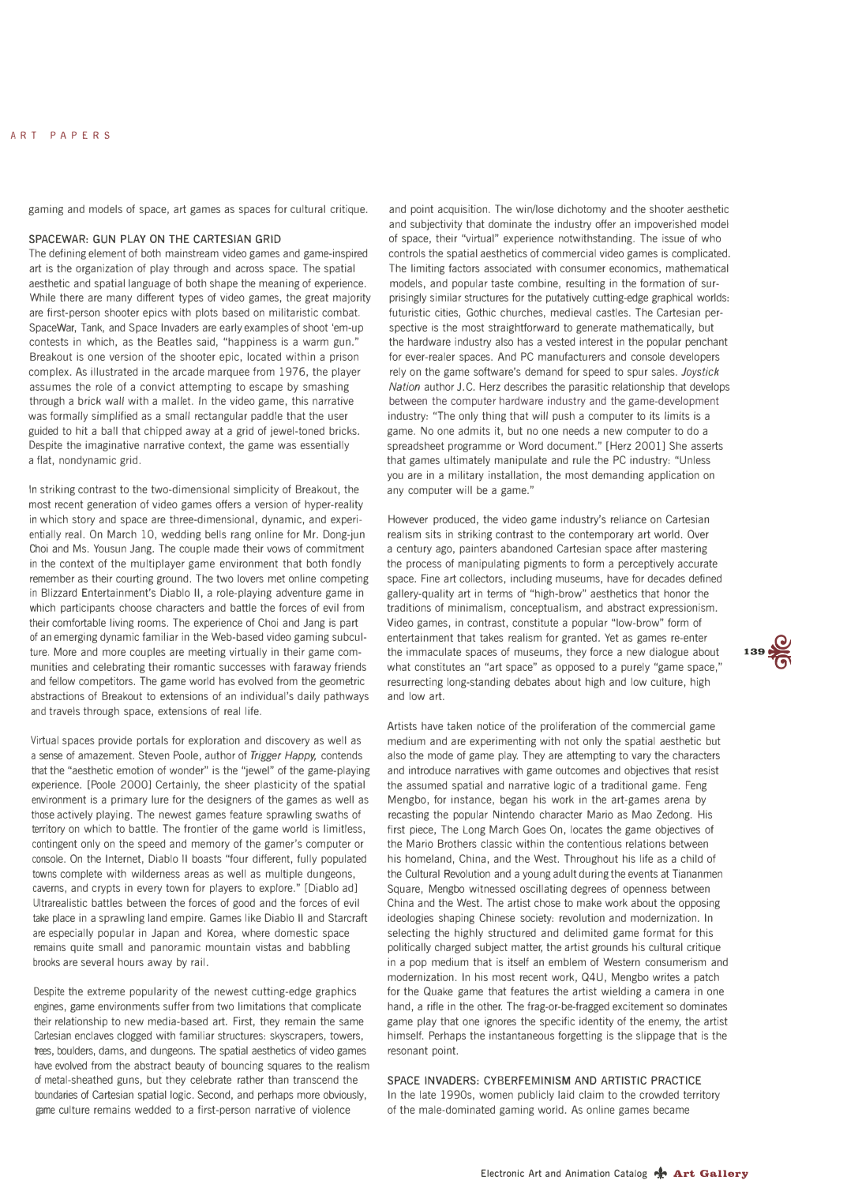gaming and models of space, art games as spaces for cultural critique.

### **SPACEWAR: GUN PLAY ON** THE **CARTESIAN GRID**

The defining element of both mainstream video games and game-inspired art is the organization of play through and across space. The spatial aesthetic and spatial language of both shape the meaning of experience. While there are many different types of video games, the great majority are first-person shooter epics with plots based on militaristic combat. Spacewar, Tank, and Space Invaders are early examples of shoot 'em-up contests in which, as the Beatles said, "happiness is a warm gun." Breakout is one version of the shooter epic, located within a prison complex. As illustrated in the arcade marquee from 1976, the player assumes the role of a convict attempting to escape by smashing through a brick wall with a mallet. In the video game, this narrative was formally simplified as a small rectangular paddle that the user guided to hit a ball that chipped away at a grid of jewel-toned bricks. Despite the imaginative narrative context, the game was essentially a flat, nondynamic grid.

In striking contrast to the two-dimensional simplicity of Breakout, the most recent generation of video games offers a version of hyper-reality in which story and space are three-dimensional, dynamic, and experientially real. On March 10, wedding bells rang online for Mr. Dong-jun Choi and Ms. Yousun Jang. The couple made their vows of commitment in the context of the multiplayer game environment that both fondly remember as their courting ground. The two lovers met online competing in Blizzard Entertainment's Diablo II, a role-playing adventure game in which participants choose characters and battle the forces of evil from their comfortable living rooms. The experience of Choi and Jang is part of an emerging dynamic familiar in the Web-based video gaming subculture. More and more couples are meeting virtually in their game communities and celebrating their romantic successes with faraway friends and fellow competitors. The game world has evolved from the geometric abstractions of Breakout to extensions of an individual's daily pathways and travels through space, extensions of real life.

Virtual spaces provide portals for exploration and discovery as well as a sense of amazement. Steven Poole, author of *Trigger Happy,* contends that the "aesthetic emotion of wonder" is the "jewel" of the game-playing experience. [Poole 2000] Certainly, the sheer plasticity of the spatial environment is a primary lure for the designers of the games as well as those actively playing. The newest games feature sprawling swaths of territory on which to battle. The frontier of the game world is limitless, contingent only on the speed and memory of the gamer's computer or console. On the Internet, Diablo II boasts "four different, fully populated towns complete with wilderness areas as well as multiple dungeons, caverns, and crypts in every town for players to explore." [Diablo ad] Ultrarealistic battles between the forces of good and the forces of evil take place in a sprawling land empire. Games like Diablo II and Starcraft are especially popular in Japan and Korea, where domestic space remains quite small and panoramic mountain vistas and babbling brooks are several hours away by rail.

Despite the extreme popularity of the newest cutting-edge graphics engines, game environments suffer from two limitations that complicate their relationship to new media-based art. First, they remain the same Cartesian enclaves clogged with familiar structures: skyscrapers, towers, trees, boulders, dams, and dungeons. The spatial aesthetics of video games have evolved from the abstract beauty of bouncing squares to the realism of metal-sheathed guns, but they celebrate rather than transcend the boundaries of Cartesian spatial logic. Second, and perhaps more obviously, game culture remains wedded to a first-person narrative of violence

and point acquisition. The win/lose dichotomy and the shooter aesthetic and subjectivity that dominate the industry offer an impoverished model of space, their "virtual" experience notwithstanding. The issue of who controls the spatial aesthetics of commercial video games is complicated. The limiting factors associated with consumer economics, mathematical models, and popular taste combine, resulting in the formation of surprisingly similar structures for the putatively cutting-edge graphical worlds: futuristic cities, Gothic churches, medieval castles. The Cartesian perspective is the most straightforward to generate mathematically, but the hardware industry also has a vested interest in the popular penchant for ever-realer spaces. And PC manufacturers and console developers rely on the game software's demand for speed to spur sales. *Joystick Nation* author J.C. Herz describes the parasitic relationship that develops between the computer hardware industry and the game-development industry: "The only thing that will push a computer to its limits is a game. No one admits it, but no one needs *a* new computer to do a spreadsheet programme or Word document." [Herz 2001] She asserts that games ultimately manipulate and rule the PC industry: "Unless you are in a military installation, the most demanding application on any computer will be a game."

However produced, the video game industry's reliance on Cartesian realism sits in striking contrast to the contemporary art world. Over a century ago, painters abandoned Cartesian space after mastering the process of manipulating pigments to form a perceptively accurate space. Fine art collectors, including museums, have for decades defined gallery-quality art in terms of "high-brow" aesthetics that honor the traditions of minimalism, conceptualism, and abstract expressionism. Video games, in contrast, constitute a popular "low-brow" form of entertainment that takes realism for granted. Yet as games re-enter the immaculate spaces of museums, they force a new dialogue about what constitutes an "art space" as opposed to a purely "game space," resurrecting long-standing debates about high and low culture, high and low art.

Artists have taken notice of the proliferation of the commercial game medium and are experimenting with not only the spatial aesthetic but also the mode of game play. They are attempting to vary the characters and introduce narratives with game outcomes and objectives that resist the assumed spatial and narrative logic of a traditional game. Feng Mengbo, for instance, began his work in the art-games arena by recasting the popular Nintendo character Mario as Mao Zedong. His first piece, The Long March Goes On, locates the game objectives of the Mario Brothers classic within the contentious relations between his homeland, China, and the West. Throughout his life as a child of the Cultural Revolution and a young adult during the events at Tiananmen Square, Mengbo witnessed oscillating degrees of openness between China and the West. The artist chose to make work about the opposing ideologies shaping Chinese society: revolution and modernization. In selecting the highly structured and delimited game format for this politically charged subject matter, the artist grounds his cultural critique in a pop medium that is itself an emblem of Western consumerism and modernization. In his most recent work, Q4U, Mengbo writes a patch for the Quake game that features the artist wielding a camera in one hand, a rifle in the other. The frag-or-be-fragged excitement so dominates game play that one ignores the specific identity of the enemy, the artist himself. Perhaps the instantaneous forgetting is the slippage that is the resonant point.

SPACE INVADERS: CYBERFEMINISM AND ARTISTIC PRACTICE In the late 1990s, women publicly laid claim to the crowded territory of the male-dominated gaming world. As online games became

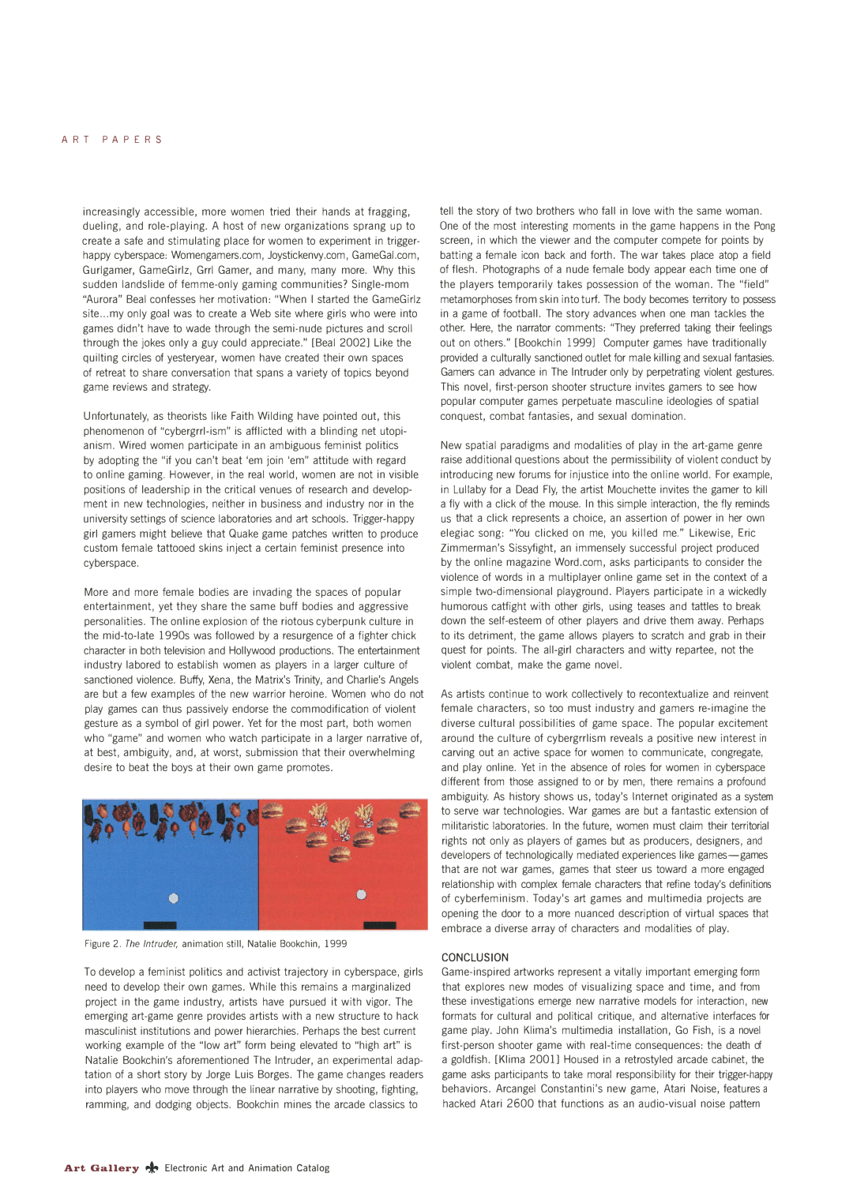increasingly accessible, more women tried their hands at fragging, dueling, and role-playing. A host of new organizations sprang up to create a safe and stimulating place for women to experiment in triggerhappy cyberspace: Womengamers.com, Joystickenvy.com, GameGal.com, Gurlgamer, GameGirlz, Grrl Gamer, and many, many more. Why this sudden landslide of femme-only gaming communities? Single-mom "Aurora" Beal confesses her motivation: "When I started the GameGirlz site... my only goal was to create a Web site where girls who were into games didn't have to wade through the semi-nude pictures and scroll through the jokes only a guy could appreciate." [Beal 2002] Like the quilting circles of yesteryear, women have created their own spaces of retreat to share conversation that spans a variety of topics beyond game reviews and strategy.

Unfortunately, as theorists like Faith Wilding have pointed out, this phenomenon of "cybergrrl-ism" is afflicted with a blinding net utopianism. Wired women participate in an ambiguous feminist politics by adopting the "if you can't beat 'em join 'em" attitude with regard to online gaming. However, in the real world, women are not in visible positions of leadership in the critical venues of research and development in new technologies, neither in business and industry nor in the university settings of science laboratories and art schools. Trigger-happy girl gamers might believe that Quake game patches written to produce custom female tattooed skins inject a certain feminist presence into cyberspace.

More and more female bodies are invading the spaces of popular entertainment, yet they share the same buff bodies and aggressive personalities. The online explosion of the riotous cyberpunk culture in the mid-to-late 1990s was followed by a resurgence of a fighter chick character in both television and Hollywood productions. The entertainment industry labored to establish women as players in a larger culture of sanctioned violence. Buffy, Xena, the Matrix's Trinity, and Charlie's Angels are but a few examples of the new warrior heroine. Women who do not play games can thus passively endorse the commodification of violent gesture as a symbol of girl power. Yet for the most part, both women who "game" and women who watch participate in a larger narrative of, at best, ambiguity, and, at worst, submission that their overwhelming desire to beat the boys at their own game promotes.



Figure 2. *The Intruder,* animation still, Natalie Bookchin, 1999

To develop a feminist politics and activist trajectory in cyberspace, girls need to develop their own games. While this remains a marginalized project in the game industry, artists have pursued it with vigor. The emerging art-game genre provides artists with a new structure to hack masculinist institutions and power hierarchies. Perhaps the best current working example of the "low art" form being elevated to "high art" is Natalie Bookchin's aforementioned The Intruder, an experimental adaptation of a short story by Jorge Luis Borges. The game changes readers into players who move through the linear narrative by shooting, fighting, ramming, and dodging objects. Bookchin mines the arcade classics to

tell the story of two brothers who fall in love with the same woman. One of the most interesting moments in the game happens in the Pong screen, in which the viewer and the computer compete for points by batting a female icon back and forth. The war takes place atop a field of flesh. Photographs of a nude female body appear each time one of the players temporarily takes possession of the woman. The "field" metamorphoses from skin into turf. The body becomes territory to possess in a game of football. The story advances when one man tackles the other. Here, the narrator comments: "They preferred taking their feelings out on others." [Bookchin 1999] Computer games have traditionally provided a culturally sanctioned outlet for male killing and sexual fantasies. Gamers can advance in The Intruder only by perpetrating violent gestures. This novel, first-person shooter structure invites gamers to see how popular computer games perpetuate masculine ideologies of spatial conquest, combat fantasies, and sexual domination.

New spatial paradigms and modalities of play in the art-game genre raise additional questions about the permissibility of violent conduct by introducing new forums for injustice into the online world. For example, in Lullaby for a Dead Fly, the artist Mouchette invites the gamer to kill a fly with a click of the mouse. In this simple interaction, the fly reminds us that a click represents a choice, an assertion of power in her own elegiac song: "You clicked on me, you killed me." Likewise, Eric Zimmerman's Sissyfight, an immensely successful project produced by the online magazine Word.com, asks participants to consider the violence of words in a multiplayer online game set in the context of a simple two-dimensional playground. Players participate in a wickedly humorous catfight with other girls, using teases and tattles to break down the self-esteem of other players and drive them away. Perhaps to its detriment, the game allows players to scratch and grab in their quest for points. The all-girl characters and witty repartee, not the violent combat, make the game novel.

As artists continue to work collectively to recontextualize and reinvent female characters, so too must industry and gamers re-imagine the diverse cultural possibilities of game space. The popular excitement around the culture of cybergrrlism reveals a positive new interest in carving out an active space for women to communicate, congregate, and play online. Yet in the absence of roles for women in cyberspace different from those assigned to or by men, there remains a profound ambiguity. As history shows us, today's Internet originated as a system to serve war technologies. War games are but a fantastic extension of militaristic laboratories. In the future, women must claim their territorial rights not only as players of games but as producers, designers, and developers of technologically mediated experiences like games-games that are not war games, games that steer us toward a more engaged relationship with complex female characters that refine today's definitions of cyberfeminism. Today's art games and multimedia projects are opening the door to a more nuanced description of virtual spaces that embrace a diverse array of characters and modalities of play.

#### **CONCLUSION**

Game-inspired artworks represent a vitally important emerging form that explores new modes of visualizing space and time, and from these investigations emerge new narrative models for interaction, new formats for cultural and political critique, and alternative interfaces for game play. John Klima's multimedia installation, Go Fish, is a novel first-person shooter game with real-time consequences: the death of a goldfish. [Klima 2001] Housed in a retrostyled arcade cabinet, the game asks participants to take moral responsibility for their trigger-happy behaviors. Arcangel Constantini's new game, Atari Noise, features a hacked Atari 2600 that functions as an audio-visual noise pattern